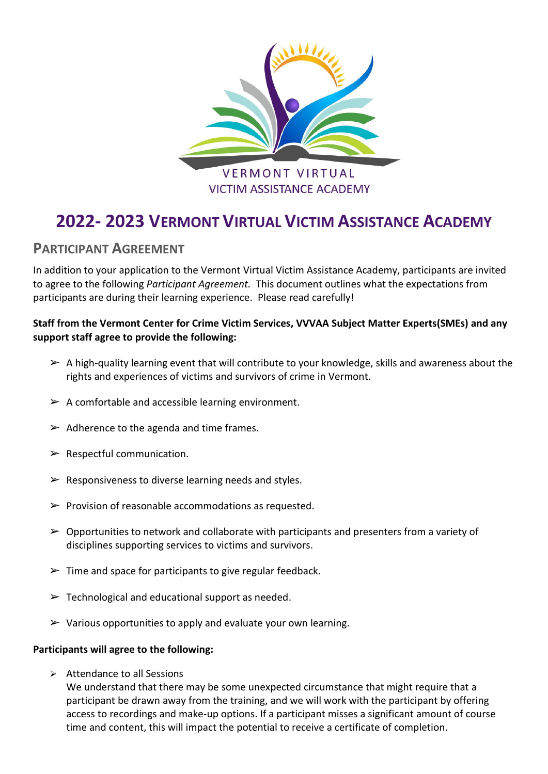

# **2022- 2023 VERMONT VIRTUAL VICTIM ASSISTANCE ACADEMY**

## **PARTICIPANT AGREEMENT**

In addition to your application to the Vermont Virtual Victim Assistance Academy, participants are invited to agree to the following *Participant Agreement.* This document outlines what the expectations from participants are during their learning experience. Please read carefully!

### **Staff from the Vermont Center for Crime Victim Services, VVVAA Subject Matter Experts(SMEs) and any support staff agree to provide the following:**

- $\triangleright$  A high-quality learning event that will contribute to your knowledge, skills and awareness about the rights and experiences of victims and survivors of crime in Vermont.
- $\triangleright$  A comfortable and accessible learning environment.
- $\triangleright$  Adherence to the agenda and time frames.
- $\triangleright$  Respectful communication.
- $\triangleright$  Responsiveness to diverse learning needs and styles.
- $\triangleright$  Provision of reasonable accommodations as requested.
- $\triangleright$  Opportunities to network and collaborate with participants and presenters from a variety of disciplines supporting services to victims and survivors.
- $\triangleright$  Time and space for participants to give regular feedback.
- $\triangleright$  Technological and educational support as needed.
- $\triangleright$  Various opportunities to apply and evaluate your own learning.

#### **Participants will agree to the following:**

➢ Attendance to all Sessions

We understand that there may be some unexpected circumstance that might require that a participant be drawn away from the training, and we will work with the participant by offering access to recordings and make-up options. If a participant misses a significant amount of course time and content, this will impact the potential to receive a certificate of completion.